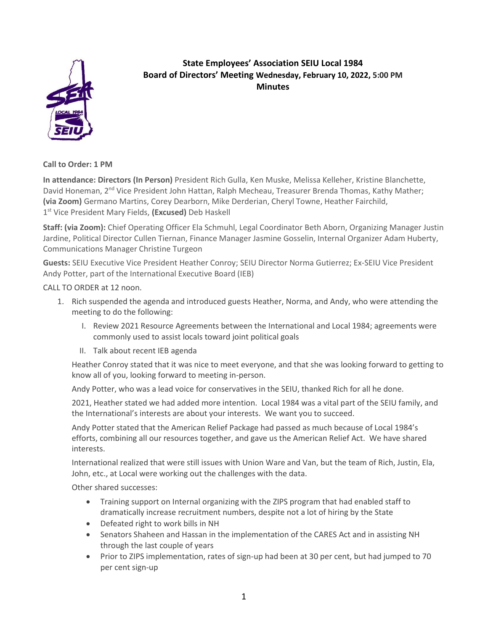

## **State Employees' Association SEIU Local 1984 Board of Directors' Meeting Wednesday, February 10, 2022, 5:00 PM Minutes**

**Call to Order: 1 PM**

**In attendance: Directors (In Person)** President Rich Gulla, Ken Muske, Melissa Kelleher, Kristine Blanchette, David Honeman, 2<sup>nd</sup> Vice President John Hattan, Ralph Mecheau, Treasurer Brenda Thomas, Kathy Mather; **(via Zoom)** Germano Martins, Corey Dearborn, Mike Derderian, Cheryl Towne, Heather Fairchild, 1 st Vice President Mary Fields, **(Excused)** Deb Haskell

**Staff: (via Zoom):** Chief Operating Officer Ela Schmuhl, Legal Coordinator Beth Aborn, Organizing Manager Justin Jardine, Political Director Cullen Tiernan, Finance Manager Jasmine Gosselin, Internal Organizer Adam Huberty, Communications Manager Christine Turgeon

**Guests:** SEIU Executive Vice President Heather Conroy; SEIU Director Norma Gutierrez; Ex-SEIU Vice President Andy Potter, part of the International Executive Board (IEB)

CALL TO ORDER at 12 noon.

- 1. Rich suspended the agenda and introduced guests Heather, Norma, and Andy, who were attending the meeting to do the following:
	- I. Review 2021 Resource Agreements between the International and Local 1984; agreements were commonly used to assist locals toward joint political goals
	- II. Talk about recent IEB agenda

Heather Conroy stated that it was nice to meet everyone, and that she was looking forward to getting to know all of you, looking forward to meeting in-person.

Andy Potter, who was a lead voice for conservatives in the SEIU, thanked Rich for all he done.

2021, Heather stated we had added more intention. Local 1984 was a vital part of the SEIU family, and the International's interests are about your interests. We want you to succeed.

Andy Potter stated that the American Relief Package had passed as much because of Local 1984's efforts, combining all our resources together, and gave us the American Relief Act. We have shared interests.

International realized that were still issues with Union Ware and Van, but the team of Rich, Justin, Ela, John, etc., at Local were working out the challenges with the data.

Other shared successes:

- Training support on Internal organizing with the ZIPS program that had enabled staff to dramatically increase recruitment numbers, despite not a lot of hiring by the State
- Defeated right to work bills in NH
- Senators Shaheen and Hassan in the implementation of the CARES Act and in assisting NH through the last couple of years
- Prior to ZIPS implementation, rates of sign-up had been at 30 per cent, but had jumped to 70 per cent sign-up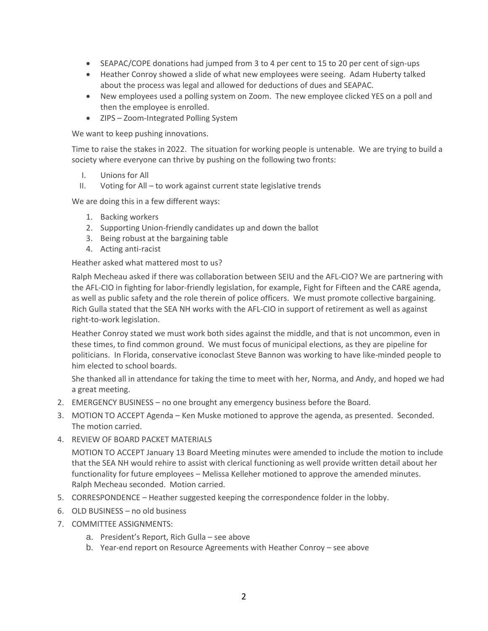- SEAPAC/COPE donations had jumped from 3 to 4 per cent to 15 to 20 per cent of sign-ups
- Heather Conroy showed a slide of what new employees were seeing. Adam Huberty talked about the process was legal and allowed for deductions of dues and SEAPAC.
- New employees used a polling system on Zoom. The new employee clicked YES on a poll and then the employee is enrolled.
- ZIPS Zoom-Integrated Polling System

We want to keep pushing innovations.

Time to raise the stakes in 2022. The situation for working people is untenable. We are trying to build a society where everyone can thrive by pushing on the following two fronts:

- I. Unions for All
- II. Voting for All to work against current state legislative trends

We are doing this in a few different ways:

- 1. Backing workers
- 2. Supporting Union-friendly candidates up and down the ballot
- 3. Being robust at the bargaining table
- 4. Acting anti-racist

Heather asked what mattered most to us?

Ralph Mecheau asked if there was collaboration between SEIU and the AFL-CIO? We are partnering with the AFL-CIO in fighting for labor-friendly legislation, for example, Fight for Fifteen and the CARE agenda, as well as public safety and the role therein of police officers. We must promote collective bargaining. Rich Gulla stated that the SEA NH works with the AFL-CIO in support of retirement as well as against right-to-work legislation.

Heather Conroy stated we must work both sides against the middle, and that is not uncommon, even in these times, to find common ground. We must focus of municipal elections, as they are pipeline for politicians. In Florida, conservative iconoclast Steve Bannon was working to have like-minded people to him elected to school boards.

She thanked all in attendance for taking the time to meet with her, Norma, and Andy, and hoped we had a great meeting.

- 2. EMERGENCY BUSINESS no one brought any emergency business before the Board.
- 3. MOTION TO ACCEPT Agenda Ken Muske motioned to approve the agenda, as presented. Seconded. The motion carried.
- 4. REVIEW OF BOARD PACKET MATERIALS

MOTION TO ACCEPT January 13 Board Meeting minutes were amended to include the motion to include that the SEA NH would rehire to assist with clerical functioning as well provide written detail about her functionality for future employees – Melissa Kelleher motioned to approve the amended minutes. Ralph Mecheau seconded. Motion carried.

- 5. CORRESPONDENCE Heather suggested keeping the correspondence folder in the lobby.
- 6. OLD BUSINESS no old business
- 7. COMMITTEE ASSIGNMENTS:
	- a. President's Report, Rich Gulla see above
	- b. Year-end report on Resource Agreements with Heather Conroy see above